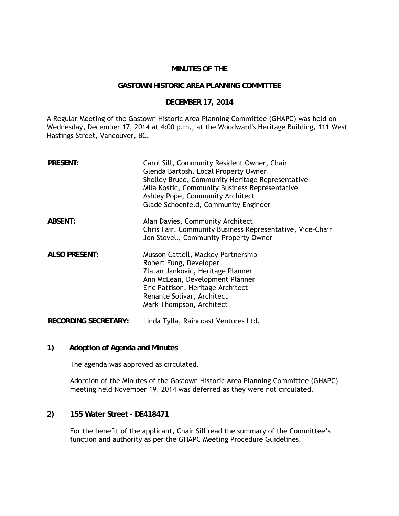## **MINUTES OF THE**

## **GASTOWN HISTORIC AREA PLANNING COMMITTEE**

## **DECEMBER 17, 2014**

A Regular Meeting of the Gastown Historic Area Planning Committee (GHAPC) was held on Wednesday, December 17, 2014 at 4:00 p.m., at the Woodward's Heritage Building, 111 West Hastings Street, Vancouver, BC.

| <b>PRESENT:</b>             | Carol Sill, Community Resident Owner, Chair<br>Glenda Bartosh, Local Property Owner<br>Shelley Bruce, Community Heritage Representative<br>Mila Kostic, Community Business Representative<br>Ashley Pope, Community Architect<br>Glade Schoenfeld, Community Engineer |
|-----------------------------|-----------------------------------------------------------------------------------------------------------------------------------------------------------------------------------------------------------------------------------------------------------------------|
| ABSENT:                     | Alan Davies, Community Architect<br>Chris Fair, Community Business Representative, Vice-Chair<br>Jon Stovell, Community Property Owner                                                                                                                                |
| <b>ALSO PRESENT:</b>        | Musson Cattell, Mackey Partnership<br>Robert Fung, Developer<br>Zlatan Jankovic, Heritage Planner<br>Ann McLean, Development Planner<br>Eric Pattison, Heritage Architect<br>Renante Solivar, Architect<br>Mark Thompson, Architect                                   |
| <b>RECORDING SECRETARY:</b> | Linda Tylla, Raincoast Ventures Ltd.                                                                                                                                                                                                                                  |

**1) Adoption of Agenda and Minutes** 

The agenda was approved as circulated.

Adoption of the Minutes of the Gastown Historic Area Planning Committee (GHAPC) meeting held November 19, 2014 was deferred as they were not circulated.

**2) 155 Water Street - DE418471**

For the benefit of the applicant, Chair Sill read the summary of the Committee's function and authority as per the GHAPC Meeting Procedure Guidelines.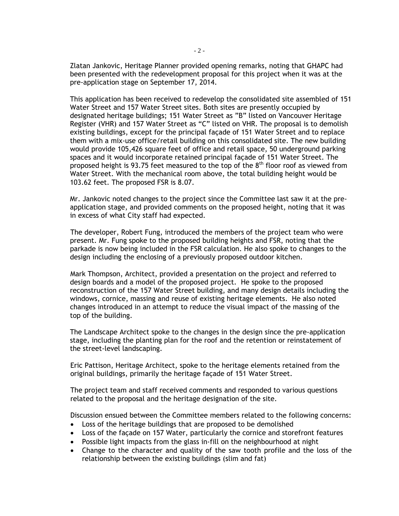Zlatan Jankovic, Heritage Planner provided opening remarks, noting that GHAPC had been presented with the redevelopment proposal for this project when it was at the pre-application stage on September 17, 2014.

This application has been received to redevelop the consolidated site assembled of 151 Water Street and 157 Water Street sites. Both sites are presently occupied by designated heritage buildings; 151 Water Street as "B" listed on Vancouver Heritage Register (VHR) and 157 Water Street as "C" listed on VHR. The proposal is to demolish existing buildings, except for the principal façade of 151 Water Street and to replace them with a mix-use office/retail building on this consolidated site. The new building would provide 105,426 square feet of office and retail space, 50 underground parking spaces and it would incorporate retained principal façade of 151 Water Street. The proposed height is 93.75 feet measured to the top of the  $8<sup>th</sup>$  floor roof as viewed from Water Street. With the mechanical room above, the total building height would be 103.62 feet. The proposed FSR is 8.07.

Mr. Jankovic noted changes to the project since the Committee last saw it at the preapplication stage, and provided comments on the proposed height, noting that it was in excess of what City staff had expected.

The developer, Robert Fung, introduced the members of the project team who were present. Mr. Fung spoke to the proposed building heights and FSR, noting that the parkade is now being included in the FSR calculation. He also spoke to changes to the design including the enclosing of a previously proposed outdoor kitchen.

Mark Thompson, Architect, provided a presentation on the project and referred to design boards and a model of the proposed project. He spoke to the proposed reconstruction of the 157 Water Street building, and many design details including the windows, cornice, massing and reuse of existing heritage elements. He also noted changes introduced in an attempt to reduce the visual impact of the massing of the top of the building.

The Landscape Architect spoke to the changes in the design since the pre-application stage, including the planting plan for the roof and the retention or reinstatement of the street-level landscaping.

 Eric Pattison, Heritage Architect, spoke to the heritage elements retained from the original buildings, primarily the heritage façade of 151 Water Street.

The project team and staff received comments and responded to various questions related to the proposal and the heritage designation of the site.

Discussion ensued between the Committee members related to the following concerns:

- Loss of the heritage buildings that are proposed to be demolished
- Loss of the façade on 157 Water, particularly the cornice and storefront features
- Possible light impacts from the glass in-fill on the neighbourhood at night
- Change to the character and quality of the saw tooth profile and the loss of the relationship between the existing buildings (slim and fat)